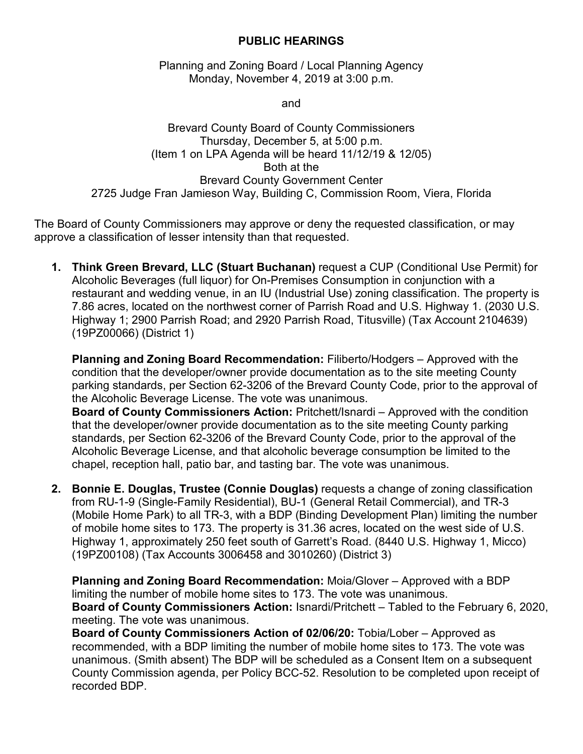## **PUBLIC HEARINGS**

Planning and Zoning Board / Local Planning Agency Monday, November 4, 2019 at 3:00 p.m.

and

Brevard County Board of County Commissioners Thursday, December 5, at 5:00 p.m. (Item 1 on LPA Agenda will be heard 11/12/19 & 12/05) Both at the Brevard County Government Center 2725 Judge Fran Jamieson Way, Building C, Commission Room, Viera, Florida

The Board of County Commissioners may approve or deny the requested classification, or may approve a classification of lesser intensity than that requested.

**1. Think Green Brevard, LLC (Stuart Buchanan)** request a CUP (Conditional Use Permit) for Alcoholic Beverages (full liquor) for On-Premises Consumption in conjunction with a restaurant and wedding venue, in an IU (Industrial Use) zoning classification. The property is 7.86 acres, located on the northwest corner of Parrish Road and U.S. Highway 1. (2030 U.S. Highway 1; 2900 Parrish Road; and 2920 Parrish Road, Titusville) (Tax Account 2104639) (19PZ00066) (District 1)

**Planning and Zoning Board Recommendation:** Filiberto/Hodgers – Approved with the condition that the developer/owner provide documentation as to the site meeting County parking standards, per Section 62-3206 of the Brevard County Code, prior to the approval of the Alcoholic Beverage License. The vote was unanimous.

**Board of County Commissioners Action:** Pritchett/Isnardi – Approved with the condition that the developer/owner provide documentation as to the site meeting County parking standards, per Section 62-3206 of the Brevard County Code, prior to the approval of the Alcoholic Beverage License, and that alcoholic beverage consumption be limited to the chapel, reception hall, patio bar, and tasting bar. The vote was unanimous.

**2. Bonnie E. Douglas, Trustee (Connie Douglas)** requests a change of zoning classification from RU-1-9 (Single-Family Residential), BU-1 (General Retail Commercial), and TR-3 (Mobile Home Park) to all TR-3, with a BDP (Binding Development Plan) limiting the number of mobile home sites to 173. The property is 31.36 acres, located on the west side of U.S. Highway 1, approximately 250 feet south of Garrett's Road. (8440 U.S. Highway 1, Micco) (19PZ00108) (Tax Accounts 3006458 and 3010260) (District 3)

**Planning and Zoning Board Recommendation:** Moia/Glover – Approved with a BDP limiting the number of mobile home sites to 173. The vote was unanimous. **Board of County Commissioners Action:** Isnardi/Pritchett – Tabled to the February 6, 2020, meeting. The vote was unanimous.

**Board of County Commissioners Action of 02/06/20:** Tobia/Lober – Approved as recommended, with a BDP limiting the number of mobile home sites to 173. The vote was unanimous. (Smith absent) The BDP will be scheduled as a Consent Item on a subsequent County Commission agenda, per Policy BCC-52. Resolution to be completed upon receipt of recorded BDP.